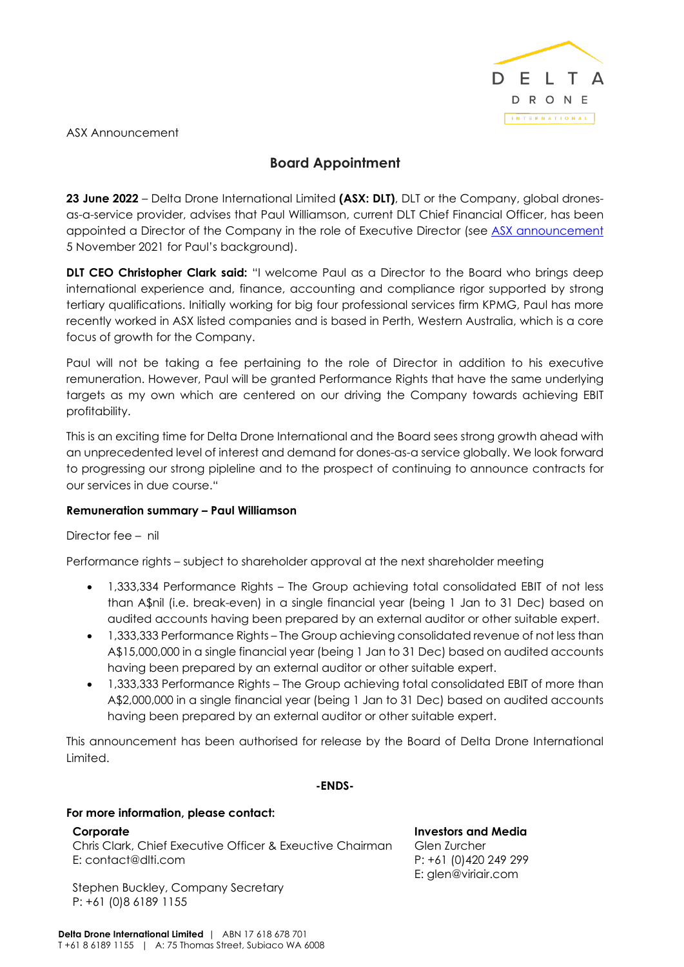

ASX Announcement

# **Board Appointment**

**23 June 2022** – Delta Drone International Limited **(ASX: DLT)**, DLT or the Company, global dronesas-a-service provider, advises that Paul Williamson, current DLT Chief Financial Officer, has been appointed a Director of the Company in the role of Executive Director (see [ASX announcement](https://cdn-api.markitdigital.com/apiman-gateway/ASX/asx-research/1.0/file/2924-02447807-6A1061181?access_token=83ff96335c2d45a094df02a206a39ff4) 5 November 2021 for Paul's background).

**DLT CEO Christopher Clark said:** "I welcome Paul as a Director to the Board who brings deep international experience and, finance, accounting and compliance rigor supported by strong tertiary qualifications. Initially working for big four professional services firm KPMG, Paul has more recently worked in ASX listed companies and is based in Perth, Western Australia, which is a core focus of growth for the Company.

Paul will not be taking a fee pertaining to the role of Director in addition to his executive remuneration. However, Paul will be granted Performance Rights that have the same underlying targets as my own which are centered on our driving the Company towards achieving EBIT profitability.

This is an exciting time for Delta Drone International and the Board sees strong growth ahead with an unprecedented level of interest and demand for dones-as-a service globally. We look forward to progressing our strong pipleline and to the prospect of continuing to announce contracts for our services in due course."

## **Remuneration summary – Paul Williamson**

## Director fee – nil

Performance rights – subject to shareholder approval at the next shareholder meeting

- 1,333,334 Performance Rights The Group achieving total consolidated EBIT of not less than A\$nil (i.e. break-even) in a single financial year (being 1 Jan to 31 Dec) based on audited accounts having been prepared by an external auditor or other suitable expert.
- 1,333,333 Performance Rights The Group achieving consolidated revenue of not less than A\$15,000,000 in a single financial year (being 1 Jan to 31 Dec) based on audited accounts having been prepared by an external auditor or other suitable expert.
- 1,333,333 Performance Rights The Group achieving total consolidated EBIT of more than A\$2,000,000 in a single financial year (being 1 Jan to 31 Dec) based on audited accounts having been prepared by an external auditor or other suitable expert.

This announcement has been authorised for release by the Board of Delta Drone International Limited.

#### **-ENDS-**

#### **For more information, please contact:**

#### **Corporate**

Chris Clark, Chief Executive Officer & Exeuctive Chairman E: contact@dlti.com

Stephen Buckley, Company Secretary P: +61 (0)8 6189 1155

**Investors and Media**  Glen Zurcher P: +61 (0)420 249 299 E: glen@viriair.com